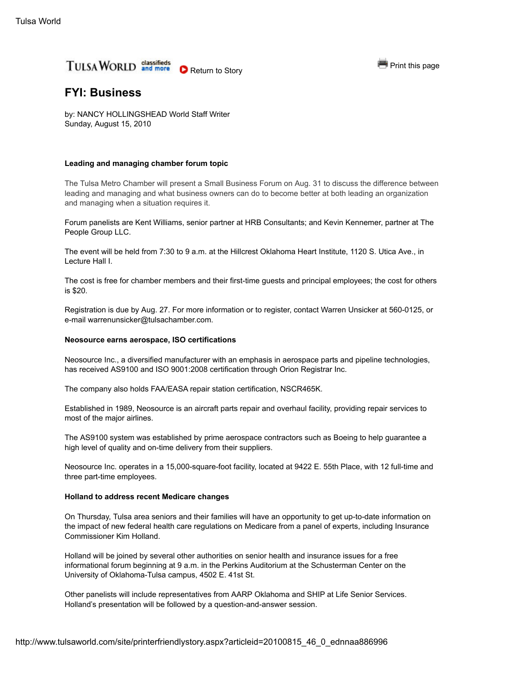

# **FYI: Business**

by: NANCY HOLLINGSHEAD World Staff Writer Sunday, August 15, 2010

# **Leading and managing chamber forum topic**

The Tulsa Metro Chamber will present a Small Business Forum on Aug. 31 to discuss the difference between leading and managing and what business owners can do to become better at both leading an organization and managing when a situation requires it.

Forum panelists are Kent Williams, senior partner at HRB Consultants; and Kevin Kennemer, partner at The People Group LLC.

The event will be held from 7:30 to 9 a.m. at the Hillcrest Oklahoma Heart Institute, 1120 S. Utica Ave., in Lecture Hall I.

The cost is free for chamber members and their first-time guests and principal employees; the cost for others is \$20.

Registration is due by Aug. 27. For more information or to register, contact Warren Unsicker at 560-0125, or e-mail warrenunsicker@tulsachamber.com.

### **Neosource earns aerospace, ISO certifications**

Neosource Inc., a diversified manufacturer with an emphasis in aerospace parts and pipeline technologies, has received AS9100 and ISO 9001:2008 certification through Orion Registrar Inc.

The company also holds FAA/EASA repair station certification, NSCR465K.

Established in 1989, Neosource is an aircraft parts repair and overhaul facility, providing repair services to most of the major airlines.

The AS9100 system was established by prime aerospace contractors such as Boeing to help guarantee a high level of quality and on-time delivery from their suppliers.

Neosource Inc. operates in a 15,000-square-foot facility, located at 9422 E. 55th Place, with 12 full-time and three part-time employees.

# **Holland to address recent Medicare changes**

On Thursday, Tulsa area seniors and their families will have an opportunity to get up-to-date information on the impact of new federal health care regulations on Medicare from a panel of experts, including Insurance Commissioner Kim Holland.

Holland will be joined by several other authorities on senior health and insurance issues for a free informational forum beginning at 9 a.m. in the Perkins Auditorium at the Schusterman Center on the University of Oklahoma-Tulsa campus, 4502 E. 41st St.

Other panelists will include representatives from AARP Oklahoma and SHIP at Life Senior Services. Holland's presentation will be followed by a question-and-answer session.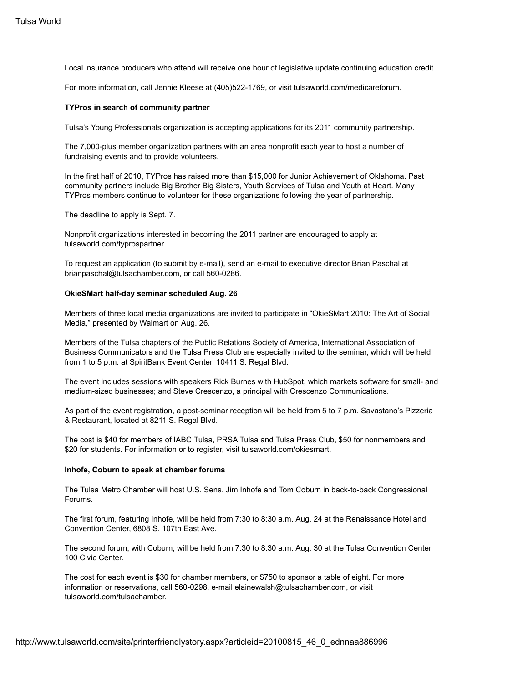Local insurance producers who attend will receive one hour of legislative update continuing education credit.

For more information, call Jennie Kleese at (405)522-1769, or visit tulsaworld.com/medicareforum.

### **TYPros in search of community partner**

Tulsa's Young Professionals organization is accepting applications for its 2011 community partnership.

The 7,000-plus member organization partners with an area nonprofit each year to host a number of fundraising events and to provide volunteers.

In the first half of 2010, TYPros has raised more than \$15,000 for Junior Achievement of Oklahoma. Past community partners include Big Brother Big Sisters, Youth Services of Tulsa and Youth at Heart. Many TYPros members continue to volunteer for these organizations following the year of partnership.

The deadline to apply is Sept. 7.

Nonprofit organizations interested in becoming the 2011 partner are encouraged to apply at tulsaworld.com/typrospartner.

To request an application (to submit by e-mail), send an e-mail to executive director Brian Paschal at brianpaschal@tulsachamber.com, or call 560-0286.

### **OkieSMart half-day seminar scheduled Aug. 26**

Members of three local media organizations are invited to participate in "OkieSMart 2010: The Art of Social Media," presented by Walmart on Aug. 26.

Members of the Tulsa chapters of the Public Relations Society of America, International Association of Business Communicators and the Tulsa Press Club are especially invited to the seminar, which will be held from 1 to 5 p.m. at SpiritBank Event Center, 10411 S. Regal Blvd.

The event includes sessions with speakers Rick Burnes with HubSpot, which markets software for small- and medium-sized businesses; and Steve Crescenzo, a principal with Crescenzo Communications.

As part of the event registration, a post-seminar reception will be held from 5 to 7 p.m. Savastano's Pizzeria & Restaurant, located at 8211 S. Regal Blvd.

The cost is \$40 for members of IABC Tulsa, PRSA Tulsa and Tulsa Press Club, \$50 for nonmembers and \$20 for students. For information or to register, visit tulsaworld.com/okiesmart.

#### **Inhofe, Coburn to speak at chamber forums**

The Tulsa Metro Chamber will host U.S. Sens. Jim Inhofe and Tom Coburn in back-to-back Congressional Forums.

The first forum, featuring Inhofe, will be held from 7:30 to 8:30 a.m. Aug. 24 at the Renaissance Hotel and Convention Center, 6808 S. 107th East Ave.

The second forum, with Coburn, will be held from 7:30 to 8:30 a.m. Aug. 30 at the Tulsa Convention Center, 100 Civic Center.

The cost for each event is \$30 for chamber members, or \$750 to sponsor a table of eight. For more information or reservations, call 560-0298, e-mail elainewalsh@tulsachamber.com, or visit tulsaworld.com/tulsachamber.